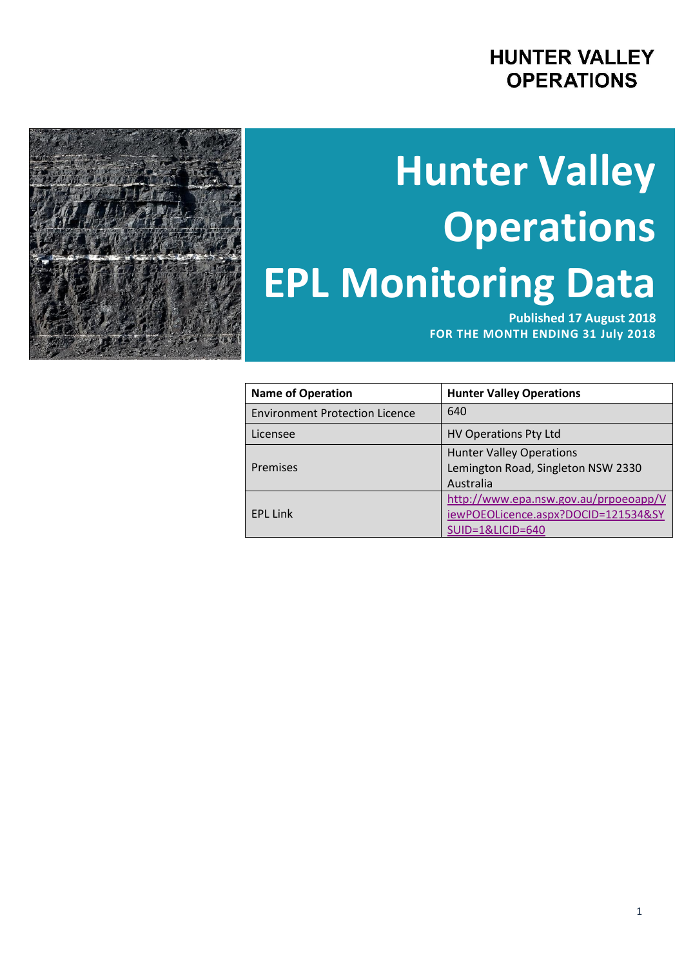# **HUNTER VALLEY OPERATIONS**

# **Hunter Valley Operations EPL Monitoring Data**

**Published 17 August 2018 FOR THE MONTH ENDING 31 July 2018**

| <b>Name of Operation</b>              | <b>Hunter Valley Operations</b>       |
|---------------------------------------|---------------------------------------|
| <b>Environment Protection Licence</b> | 640                                   |
| Licensee                              | <b>HV Operations Pty Ltd</b>          |
|                                       | <b>Hunter Valley Operations</b>       |
| Premises                              | Lemington Road, Singleton NSW 2330    |
|                                       | Australia                             |
|                                       | http://www.epa.nsw.gov.au/prpoeoapp/V |
| <b>EPL Link</b>                       | iewPOEOLicence.aspx?DOCID=121534&SY   |
|                                       | SUID=1&LICID=640                      |

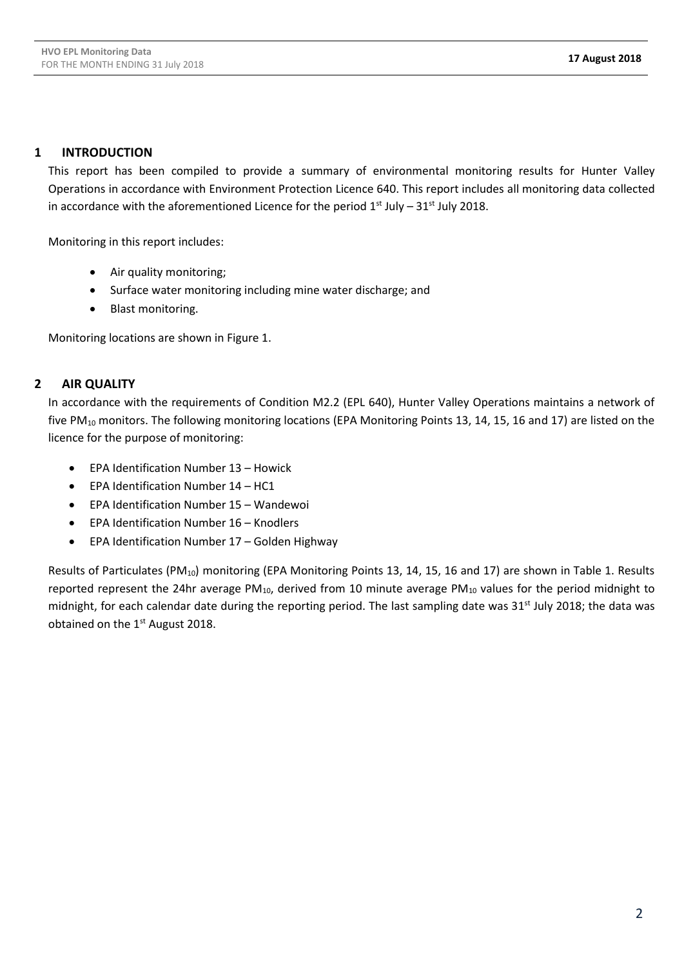### **1 INTRODUCTION**

This report has been compiled to provide a summary of environmental monitoring results for Hunter Valley Operations in accordance with Environment Protection Licence 640. This report includes all monitoring data collected in accordance with the aforementioned Licence for the period  $1<sup>st</sup>$  July – 31 $<sup>st</sup>$  July 2018.</sup>

Monitoring in this report includes:

- Air quality monitoring;
- Surface water monitoring including mine water discharge; and
- Blast monitoring.

Monitoring locations are shown in Figure 1.

## **2 AIR QUALITY**

In accordance with the requirements of Condition M2.2 (EPL 640), Hunter Valley Operations maintains a network of five PM<sub>10</sub> monitors. The following monitoring locations (EPA Monitoring Points 13, 14, 15, 16 and 17) are listed on the licence for the purpose of monitoring:

- EPA Identification Number 13 Howick
- EPA Identification Number 14 HC1
- EPA Identification Number 15 Wandewoi
- EPA Identification Number 16 Knodlers
- EPA Identification Number 17 Golden Highway

Results of Particulates (PM<sub>10</sub>) monitoring (EPA Monitoring Points 13, 14, 15, 16 and 17) are shown in Table 1. Results reported represent the 24hr average PM<sub>10</sub>, derived from 10 minute average PM<sub>10</sub> values for the period midnight to midnight, for each calendar date during the reporting period. The last sampling date was 31<sup>st</sup> July 2018; the data was obtained on the 1<sup>st</sup> August 2018.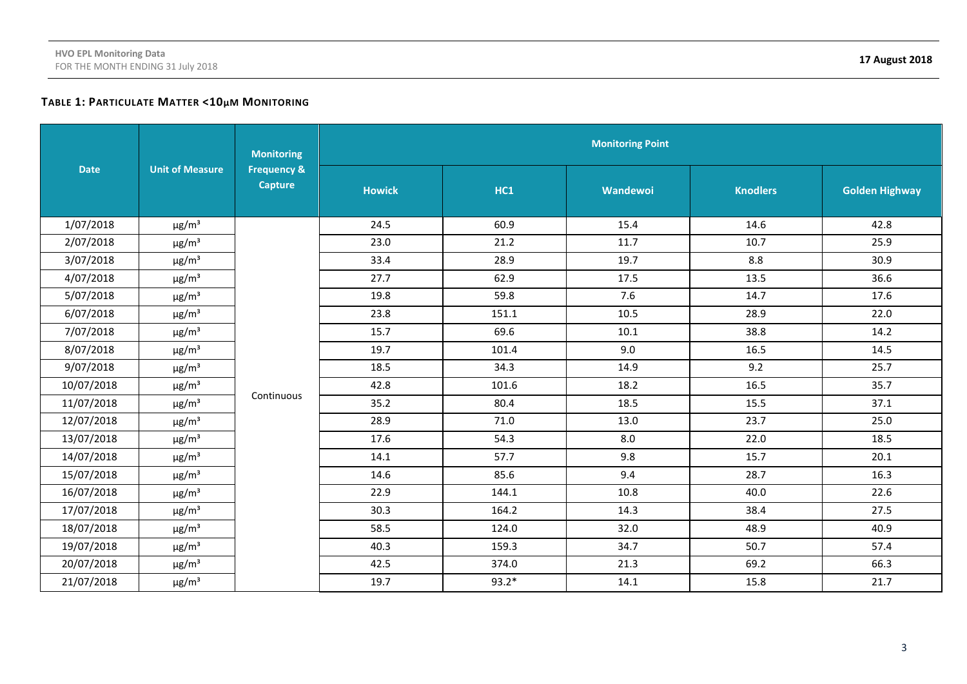# **TABLE 1: PARTICULATE MATTER <10µM MONITORING**

|             |                        | <b>Monitoring</b>                        | <b>Monitoring Point</b> |         |          |                 |                       |  |  |  |
|-------------|------------------------|------------------------------------------|-------------------------|---------|----------|-----------------|-----------------------|--|--|--|
| <b>Date</b> | <b>Unit of Measure</b> | <b>Frequency &amp;</b><br><b>Capture</b> | <b>Howick</b>           | HC1     | Wandewoi | <b>Knodlers</b> | <b>Golden Highway</b> |  |  |  |
| 1/07/2018   | $\mu$ g/m <sup>3</sup> |                                          | 24.5                    | 60.9    | 15.4     | 14.6            | 42.8                  |  |  |  |
| 2/07/2018   | $\mu$ g/m <sup>3</sup> |                                          | 23.0                    | 21.2    | 11.7     | 10.7            | 25.9                  |  |  |  |
| 3/07/2018   | $\mu$ g/m <sup>3</sup> |                                          | 33.4                    | 28.9    | 19.7     | 8.8             | 30.9                  |  |  |  |
| 4/07/2018   | $\mu$ g/m <sup>3</sup> |                                          | 27.7                    | 62.9    | 17.5     | 13.5            | 36.6                  |  |  |  |
| 5/07/2018   | $\mu$ g/m <sup>3</sup> |                                          | 19.8                    | 59.8    | 7.6      | 14.7            | 17.6                  |  |  |  |
| 6/07/2018   | $\mu$ g/m <sup>3</sup> |                                          | 23.8                    | 151.1   | 10.5     | 28.9            | 22.0                  |  |  |  |
| 7/07/2018   | $\mu$ g/m <sup>3</sup> |                                          | 15.7                    | 69.6    | $10.1\,$ | 38.8            | 14.2                  |  |  |  |
| 8/07/2018   | $\mu$ g/m <sup>3</sup> |                                          | 19.7                    | 101.4   | 9.0      | 16.5            | 14.5                  |  |  |  |
| 9/07/2018   | $\mu$ g/m <sup>3</sup> |                                          | 18.5                    | 34.3    | 14.9     | 9.2             | 25.7                  |  |  |  |
| 10/07/2018  | $\mu$ g/m <sup>3</sup> |                                          | 42.8                    | 101.6   | 18.2     | 16.5            | 35.7                  |  |  |  |
| 11/07/2018  | $\mu$ g/m <sup>3</sup> | Continuous                               | 35.2                    | 80.4    | 18.5     | 15.5            | 37.1                  |  |  |  |
| 12/07/2018  | $\mu$ g/m <sup>3</sup> |                                          | 28.9                    | 71.0    | 13.0     | 23.7            | 25.0                  |  |  |  |
| 13/07/2018  | $\mu$ g/m <sup>3</sup> |                                          | 17.6                    | 54.3    | 8.0      | 22.0            | 18.5                  |  |  |  |
| 14/07/2018  | $\mu$ g/m <sup>3</sup> |                                          | 14.1                    | 57.7    | 9.8      | 15.7            | 20.1                  |  |  |  |
| 15/07/2018  | $\mu$ g/m <sup>3</sup> |                                          | 14.6                    | 85.6    | 9.4      | 28.7            | 16.3                  |  |  |  |
| 16/07/2018  | $\mu$ g/m <sup>3</sup> |                                          | 22.9                    | 144.1   | 10.8     | 40.0            | 22.6                  |  |  |  |
| 17/07/2018  | $\mu$ g/m <sup>3</sup> |                                          | 30.3                    | 164.2   | 14.3     | 38.4            | 27.5                  |  |  |  |
| 18/07/2018  | $\mu$ g/m <sup>3</sup> |                                          | 58.5                    | 124.0   | 32.0     | 48.9            | 40.9                  |  |  |  |
| 19/07/2018  | $\mu$ g/m <sup>3</sup> |                                          | 40.3                    | 159.3   | 34.7     | 50.7            | 57.4                  |  |  |  |
| 20/07/2018  | $\mu$ g/m <sup>3</sup> |                                          | 42.5                    | 374.0   | 21.3     | 69.2            | 66.3                  |  |  |  |
| 21/07/2018  | $\mu$ g/m <sup>3</sup> |                                          | 19.7                    | $93.2*$ | 14.1     | 15.8            | 21.7                  |  |  |  |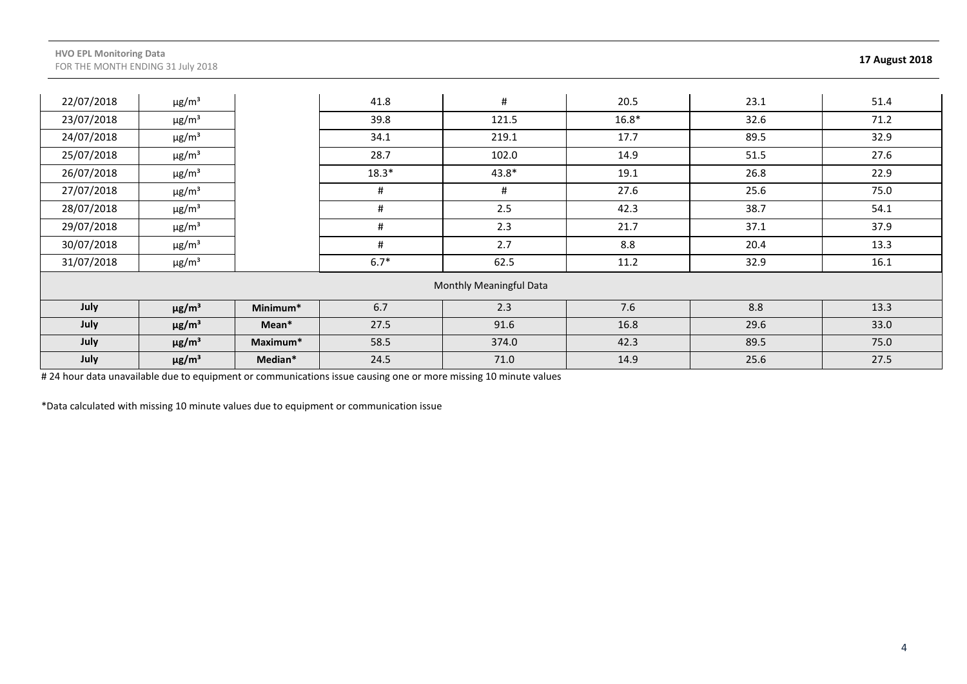| 22/07/2018              | $\mu$ g/m <sup>3</sup> |          | 41.8    | $\#$  | 20.5    | 23.1 | 51.4 |  |  |
|-------------------------|------------------------|----------|---------|-------|---------|------|------|--|--|
| 23/07/2018              | $\mu$ g/m <sup>3</sup> |          | 39.8    | 121.5 | $16.8*$ | 32.6 | 71.2 |  |  |
| 24/07/2018              | $\mu$ g/m <sup>3</sup> |          | 34.1    | 219.1 | 17.7    | 89.5 | 32.9 |  |  |
| 25/07/2018              | $\mu$ g/m <sup>3</sup> |          | 28.7    | 102.0 | 14.9    | 51.5 | 27.6 |  |  |
| 26/07/2018              | $\mu$ g/m <sup>3</sup> |          | $18.3*$ | 43.8* | 19.1    | 26.8 | 22.9 |  |  |
| 27/07/2018              | $\mu$ g/m <sup>3</sup> |          | #       | #     | 27.6    | 25.6 | 75.0 |  |  |
| 28/07/2018              | $\mu$ g/m <sup>3</sup> |          | #       | 2.5   | 42.3    | 38.7 | 54.1 |  |  |
| 29/07/2018              | $\mu$ g/m <sup>3</sup> |          | #       | 2.3   | 21.7    | 37.1 | 37.9 |  |  |
| 30/07/2018              | $\mu$ g/m <sup>3</sup> |          | #       | 2.7   | 8.8     | 20.4 | 13.3 |  |  |
| 31/07/2018              | $\mu$ g/m <sup>3</sup> |          | $6.7*$  | 62.5  | 11.2    | 32.9 | 16.1 |  |  |
| Monthly Meaningful Data |                        |          |         |       |         |      |      |  |  |
| July                    | $\mu$ g/m <sup>3</sup> | Minimum* | 6.7     | 2.3   | 7.6     | 8.8  | 13.3 |  |  |
| July                    | $\mu$ g/m <sup>3</sup> | Mean*    | 27.5    | 91.6  | 16.8    | 29.6 | 33.0 |  |  |
| July                    | $\mu$ g/m <sup>3</sup> | Maximum* | 58.5    | 374.0 | 42.3    | 89.5 | 75.0 |  |  |
| July                    | $\mu$ g/m <sup>3</sup> | Median*  | 24.5    | 71.0  | 14.9    | 25.6 | 27.5 |  |  |

# 24 hour data unavailable due to equipment or communications issue causing one or more missing 10 minute values

\*Data calculated with missing 10 minute values due to equipment or communication issue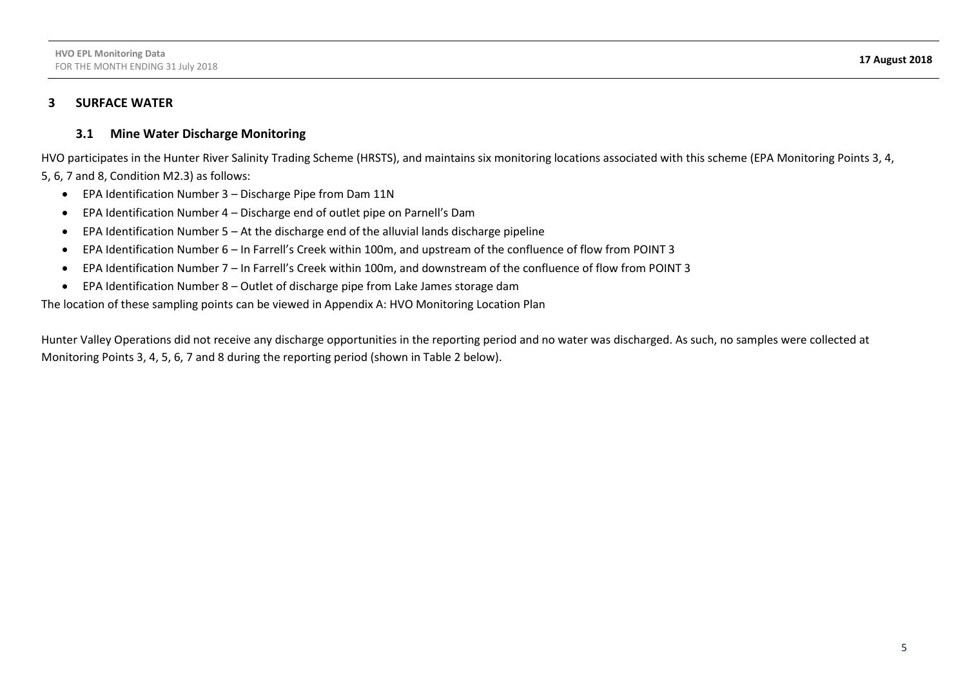### **3 SURFACE WATER**

### **3.1 Mine Water Discharge Monitoring**

HVO participates in the Hunter River Salinity Trading Scheme (HRSTS), and maintains six monitoring locations associated with this scheme (EPA Monitoring Points 3, 4, 5, 6, 7 and 8, Condition M2.3) as follows:

- EPA Identification Number 3 Discharge Pipe from Dam 11N
- EPA Identification Number 4 Discharge end of outlet pipe on Parnell's Dam
- EPA Identification Number 5 At the discharge end of the alluvial lands discharge pipeline
- EPA Identification Number 6 In Farrell's Creek within 100m, and upstream of the confluence of flow from POINT 3
- EPA Identification Number 7 In Farrell's Creek within 100m, and downstream of the confluence of flow from POINT 3
- EPA Identification Number 8 Outlet of discharge pipe from Lake James storage dam

The location of these sampling points can be viewed in Appendix A: HVO Monitoring Location Plan

Hunter Valley Operations did not receive any discharge opportunities in the reporting period and no water was discharged. As such, no samples were collected at Monitoring Points 3, 4, 5, 6, 7 and 8 during the reporting period (shown in Table 2 below).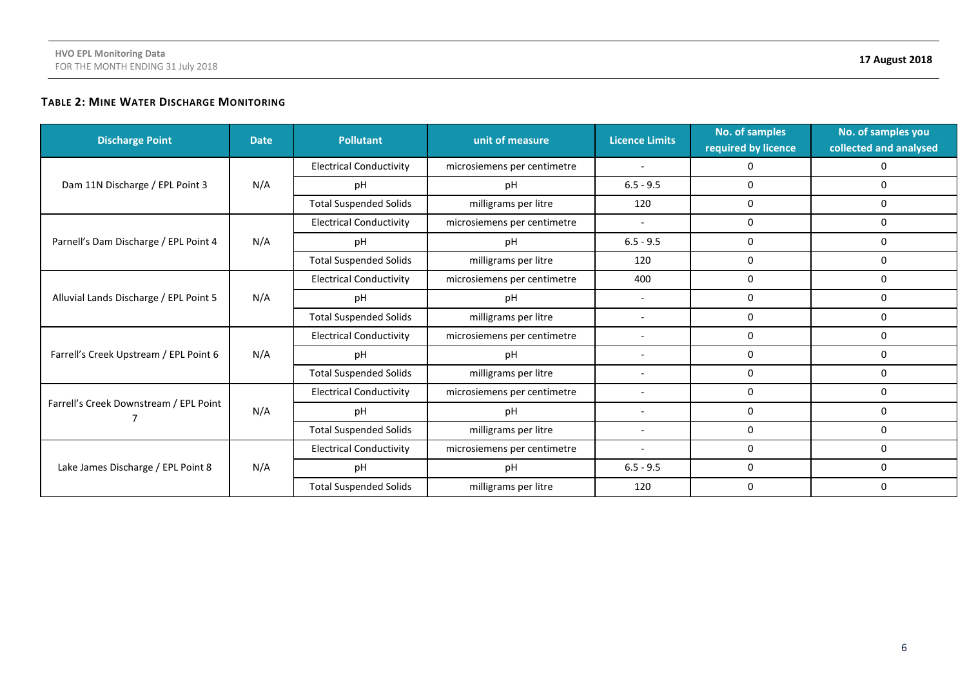# **TABLE 2: MINE WATER DISCHARGE MONITORING**

| <b>Discharge Point</b>                 | <b>Date</b> | <b>Pollutant</b>               | unit of measure             | <b>Licence Limits</b>        | No. of samples<br>required by licence | No. of samples you<br>collected and analysed |
|----------------------------------------|-------------|--------------------------------|-----------------------------|------------------------------|---------------------------------------|----------------------------------------------|
|                                        |             | <b>Electrical Conductivity</b> | microsiemens per centimetre | $\overline{\phantom{a}}$     | 0                                     | 0                                            |
| Dam 11N Discharge / EPL Point 3        | N/A         | рH                             | pH                          | $6.5 - 9.5$                  | $\Omega$                              | 0                                            |
|                                        |             | <b>Total Suspended Solids</b>  | milligrams per litre        | 120                          | 0                                     | 0                                            |
|                                        |             | <b>Electrical Conductivity</b> | microsiemens per centimetre | $\blacksquare$               | 0                                     | 0                                            |
| Parnell's Dam Discharge / EPL Point 4  | N/A         | рH                             | pH                          | $6.5 - 9.5$                  | 0                                     | 0                                            |
|                                        |             | <b>Total Suspended Solids</b>  | milligrams per litre        | 120                          | 0                                     | 0                                            |
| Alluvial Lands Discharge / EPL Point 5 | N/A         | <b>Electrical Conductivity</b> | microsiemens per centimetre | 400                          | 0                                     | 0                                            |
|                                        |             | pH                             | pH                          | $\overline{\phantom{a}}$     | 0                                     | 0                                            |
|                                        |             | <b>Total Suspended Solids</b>  | milligrams per litre        | $\overline{\phantom{a}}$     | 0                                     | 0                                            |
|                                        | N/A         | <b>Electrical Conductivity</b> | microsiemens per centimetre | $\overline{\phantom{a}}$     | 0                                     | 0                                            |
| Farrell's Creek Upstream / EPL Point 6 |             | pH                             | рH                          | $\qquad \qquad \blacksquare$ | 0                                     | 0                                            |
|                                        |             | <b>Total Suspended Solids</b>  | milligrams per litre        | $\overline{\phantom{0}}$     | 0                                     | 0                                            |
|                                        |             | <b>Electrical Conductivity</b> | microsiemens per centimetre | $\qquad \qquad \blacksquare$ | 0                                     | 0                                            |
| Farrell's Creek Downstream / EPL Point | N/A         | pH                             | pH                          | $\overline{\phantom{a}}$     | 0                                     | 0                                            |
|                                        |             | <b>Total Suspended Solids</b>  | milligrams per litre        | $\overline{\phantom{0}}$     | 0                                     | 0                                            |
|                                        |             | <b>Electrical Conductivity</b> | microsiemens per centimetre |                              | 0                                     | 0                                            |
| Lake James Discharge / EPL Point 8     | N/A         | рH                             | pH                          | $6.5 - 9.5$                  | 0                                     | 0                                            |
|                                        |             | <b>Total Suspended Solids</b>  | milligrams per litre        | 120                          | 0                                     | 0                                            |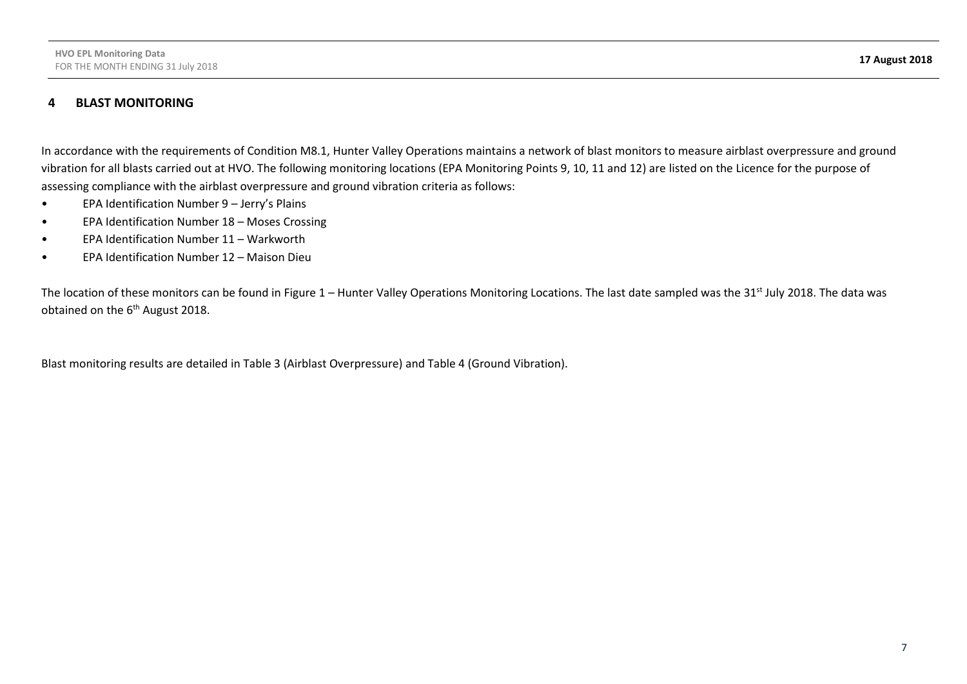#### **4 BLAST MONITORING**

In accordance with the requirements of Condition M8.1, Hunter Valley Operations maintains a network of blast monitors to measure airblast overpressure and ground vibration for all blasts carried out at HVO. The following monitoring locations (EPA Monitoring Points 9, 10, 11 and 12) are listed on the Licence for the purpose of assessing compliance with the airblast overpressure and ground vibration criteria as follows:

- EPA Identification Number 9 Jerry's Plains
- EPA Identification Number 18 Moses Crossing
- EPA Identification Number 11 Warkworth
- EPA Identification Number 12 Maison Dieu

The location of these monitors can be found in Figure 1 – Hunter Valley Operations Monitoring Locations. The last date sampled was the 31<sup>st</sup> July 2018. The data was obtained on the 6<sup>th</sup> August 2018.

Blast monitoring results are detailed in Table 3 (Airblast Overpressure) and Table 4 (Ground Vibration).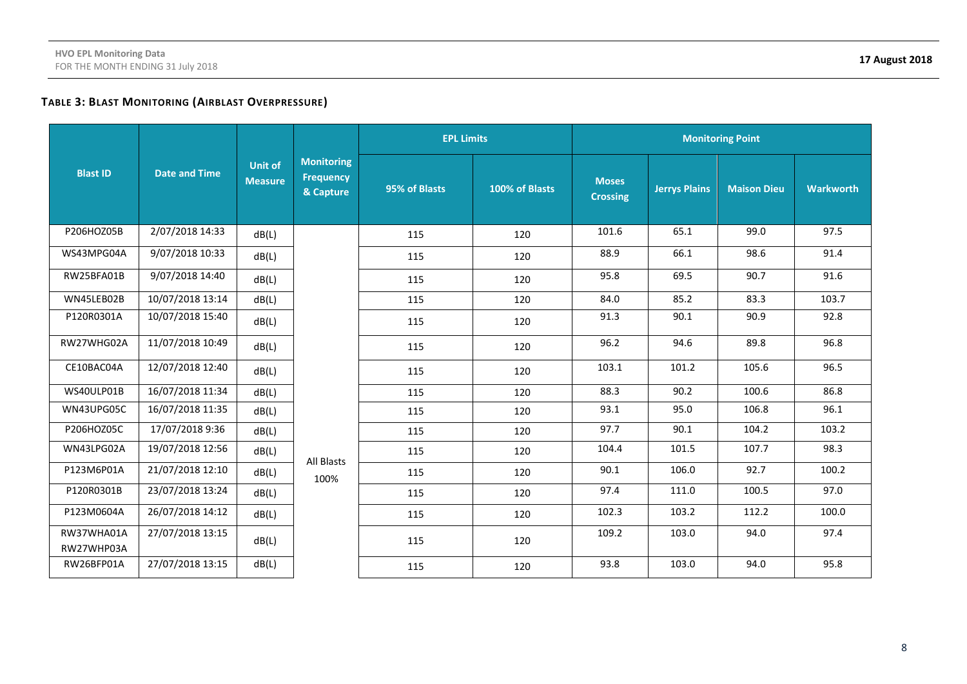# **TABLE 3: BLAST MONITORING (AIRBLAST OVERPRESSURE)**

|                          | <b>Date and Time</b> |                                  |                                                    | <b>EPL Limits</b> |                | <b>Monitoring Point</b>         |                      |                    |                  |      |
|--------------------------|----------------------|----------------------------------|----------------------------------------------------|-------------------|----------------|---------------------------------|----------------------|--------------------|------------------|------|
| <b>Blast ID</b>          |                      | <b>Unit of</b><br><b>Measure</b> | <b>Monitoring</b><br><b>Frequency</b><br>& Capture | 95% of Blasts     | 100% of Blasts | <b>Moses</b><br><b>Crossing</b> | <b>Jerrys Plains</b> | <b>Maison Dieu</b> | <b>Warkworth</b> |      |
| P206HOZ05B               | 2/07/2018 14:33      | dB(L)                            |                                                    | 115               | 120            | 101.6                           | 65.1                 | 99.0               | 97.5             |      |
| WS43MPG04A               | 9/07/2018 10:33      | dB(L)                            |                                                    | 115               | 120            | 88.9                            | 66.1                 | 98.6               | 91.4             |      |
| RW25BFA01B               | 9/07/2018 14:40      | dB(L)                            |                                                    | 115               | 120            | 95.8                            | 69.5                 | 90.7               | 91.6             |      |
| WN45LEB02B               | 10/07/2018 13:14     | dB(L)                            |                                                    | 115               | 120            | 84.0                            | 85.2                 | 83.3               | 103.7            |      |
| P120R0301A               | 10/07/2018 15:40     | dB(L)                            |                                                    |                   | 115            | 120                             | 91.3                 | 90.1               | 90.9             | 92.8 |
| RW27WHG02A               | 11/07/2018 10:49     | dB(L)                            |                                                    | 115               | 120            | 96.2                            | 94.6                 | 89.8               | 96.8             |      |
| CE10BAC04A               | 12/07/2018 12:40     | dB(L)                            |                                                    | 115               | 120            | 103.1                           | 101.2                | 105.6              | 96.5             |      |
| WS40ULP01B               | 16/07/2018 11:34     | dB(L)                            |                                                    | 115               | 120            | 88.3                            | 90.2                 | 100.6              | 86.8             |      |
| WN43UPG05C               | 16/07/2018 11:35     | dB(L)                            |                                                    | 115               | 120            | 93.1                            | 95.0                 | 106.8              | 96.1             |      |
| P206HOZ05C               | 17/07/2018 9:36      | dB(L)                            |                                                    | 115               | 120            | 97.7                            | 90.1                 | 104.2              | 103.2            |      |
| WN43LPG02A               | 19/07/2018 12:56     | dB(L)                            | All Blasts                                         | 115               | 120            | 104.4                           | 101.5                | 107.7              | 98.3             |      |
| P123M6P01A               | 21/07/2018 12:10     | dB(L)                            | 100%                                               | 115               | 120            | 90.1                            | 106.0                | 92.7               | 100.2            |      |
| P120R0301B               | 23/07/2018 13:24     | dB(L)                            |                                                    | 115               | 120            | 97.4                            | 111.0                | 100.5              | 97.0             |      |
| P123M0604A               | 26/07/2018 14:12     | dB(L)                            |                                                    | 115               | 120            | 102.3                           | 103.2                | 112.2              | 100.0            |      |
| RW37WHA01A<br>RW27WHP03A | 27/07/2018 13:15     | dB(L)                            |                                                    | 115               | 120            | 109.2                           | 103.0                | 94.0               | 97.4             |      |
| RW26BFP01A               | 27/07/2018 13:15     | dB(L)                            |                                                    | 115               | 120            | 93.8                            | 103.0                | 94.0               | 95.8             |      |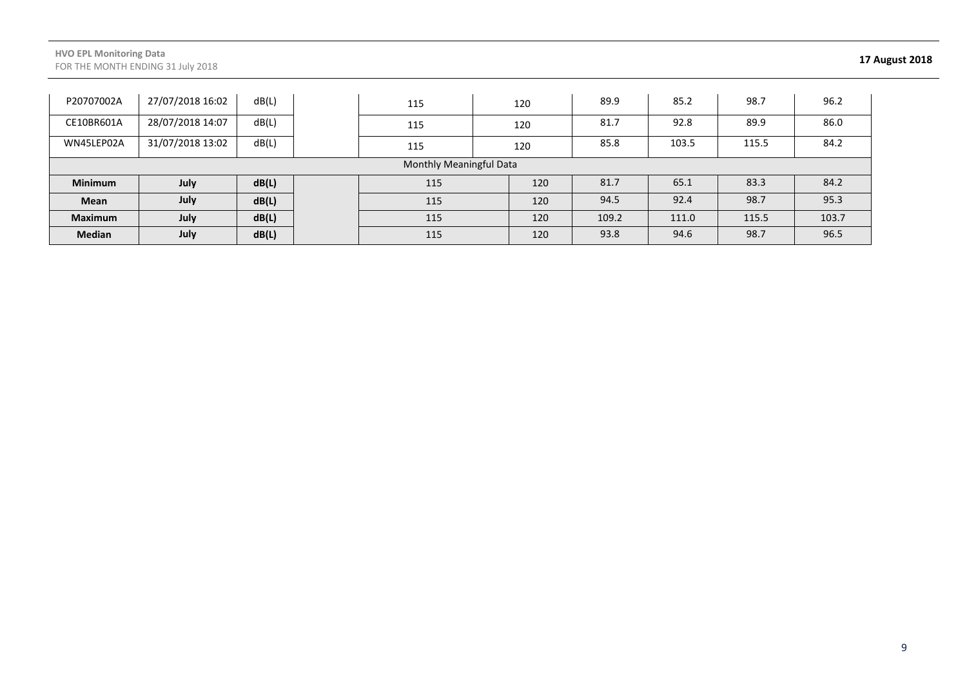#### **HVO EPL Monitoring Data** FOR THE MONTH ENDING 31 July 2018 **17 August 2018**

| P20707002A     | 27/07/2018 16:02        | dB(L) |  | 115 |     | 120 | 89.9  | 85.2  | 98.7  | 96.2  |
|----------------|-------------------------|-------|--|-----|-----|-----|-------|-------|-------|-------|
| CE10BR601A     | 28/07/2018 14:07        | dB(L) |  | 115 |     | 120 | 81.7  | 92.8  | 89.9  | 86.0  |
| WN45LEP02A     | 31/07/2018 13:02        | dB(L) |  | 115 | 120 |     | 85.8  | 103.5 | 115.5 | 84.2  |
|                | Monthly Meaningful Data |       |  |     |     |     |       |       |       |       |
| <b>Minimum</b> | July                    | dB(L) |  | 115 |     | 120 | 81.7  | 65.1  | 83.3  | 84.2  |
| Mean           | July                    | dB(L) |  | 115 |     | 120 | 94.5  | 92.4  | 98.7  | 95.3  |
| <b>Maximum</b> | July                    | dB(L) |  | 115 |     | 120 | 109.2 | 111.0 | 115.5 | 103.7 |
| <b>Median</b>  | July                    | dB(L) |  | 115 |     | 120 | 93.8  | 94.6  | 98.7  | 96.5  |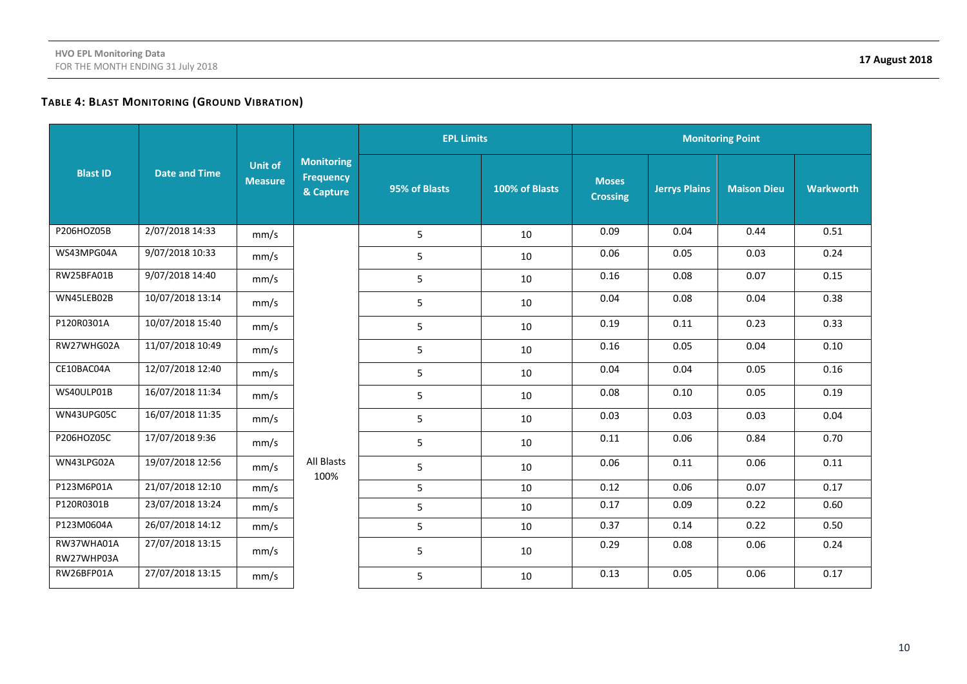# **TABLE 4: BLAST MONITORING (GROUND VIBRATION)**

|                          | <b>Date and Time</b> |                                  |                                                    | <b>EPL Limits</b> |                | <b>Monitoring Point</b>         |                      |                    |                  |      |
|--------------------------|----------------------|----------------------------------|----------------------------------------------------|-------------------|----------------|---------------------------------|----------------------|--------------------|------------------|------|
| <b>Blast ID</b>          |                      | <b>Unit of</b><br><b>Measure</b> | <b>Monitoring</b><br><b>Frequency</b><br>& Capture | 95% of Blasts     | 100% of Blasts | <b>Moses</b><br><b>Crossing</b> | <b>Jerrys Plains</b> | <b>Maison Dieu</b> | <b>Warkworth</b> |      |
| P206HOZ05B               | 2/07/2018 14:33      | mm/s                             |                                                    | 5                 | 10             | 0.09                            | 0.04                 | 0.44               | 0.51             |      |
| WS43MPG04A               | 9/07/2018 10:33      | mm/s                             |                                                    | 5                 | 10             | 0.06                            | 0.05                 | 0.03               | 0.24             |      |
| RW25BFA01B               | 9/07/2018 14:40      | mm/s                             |                                                    | $5\phantom{.}$    | 10             | 0.16                            | 0.08                 | 0.07               | 0.15             |      |
| WN45LEB02B               | 10/07/2018 13:14     | mm/s                             |                                                    | 5                 | 10             | 0.04                            | 0.08                 | 0.04               | 0.38             |      |
| P120R0301A               | 10/07/2018 15:40     | mm/s                             |                                                    |                   | 5              | 10                              | 0.19                 | 0.11               | 0.23             | 0.33 |
| RW27WHG02A               | 11/07/2018 10:49     | mm/s                             |                                                    | 5                 | 10             | 0.16                            | 0.05                 | 0.04               | 0.10             |      |
| CE10BAC04A               | 12/07/2018 12:40     | mm/s                             |                                                    | 5                 | 10             | 0.04                            | 0.04                 | 0.05               | 0.16             |      |
| WS40ULP01B               | 16/07/2018 11:34     | mm/s                             |                                                    | 5                 | 10             | 0.08                            | 0.10                 | 0.05               | 0.19             |      |
| WN43UPG05C               | 16/07/2018 11:35     | mm/s                             |                                                    | 5                 | 10             | 0.03                            | 0.03                 | 0.03               | 0.04             |      |
| P206HOZ05C               | 17/07/2018 9:36      | mm/s                             |                                                    | 5                 | 10             | 0.11                            | 0.06                 | 0.84               | 0.70             |      |
| WN43LPG02A               | 19/07/2018 12:56     | mm/s                             | All Blasts<br>100%                                 | 5                 | 10             | 0.06                            | 0.11                 | 0.06               | 0.11             |      |
| P123M6P01A               | 21/07/2018 12:10     | mm/s                             |                                                    | 5                 | 10             | 0.12                            | 0.06                 | 0.07               | 0.17             |      |
| P120R0301B               | 23/07/2018 13:24     | mm/s                             |                                                    | 5                 | 10             | 0.17                            | 0.09                 | 0.22               | 0.60             |      |
| P123M0604A               | 26/07/2018 14:12     | mm/s                             |                                                    | 5                 | 10             | 0.37                            | 0.14                 | 0.22               | 0.50             |      |
| RW37WHA01A<br>RW27WHP03A | 27/07/2018 13:15     | mm/s                             |                                                    | 5                 | 10             | 0.29                            | 0.08                 | 0.06               | 0.24             |      |
| RW26BFP01A               | 27/07/2018 13:15     | mm/s                             |                                                    | 5                 | 10             | 0.13                            | 0.05                 | 0.06               | 0.17             |      |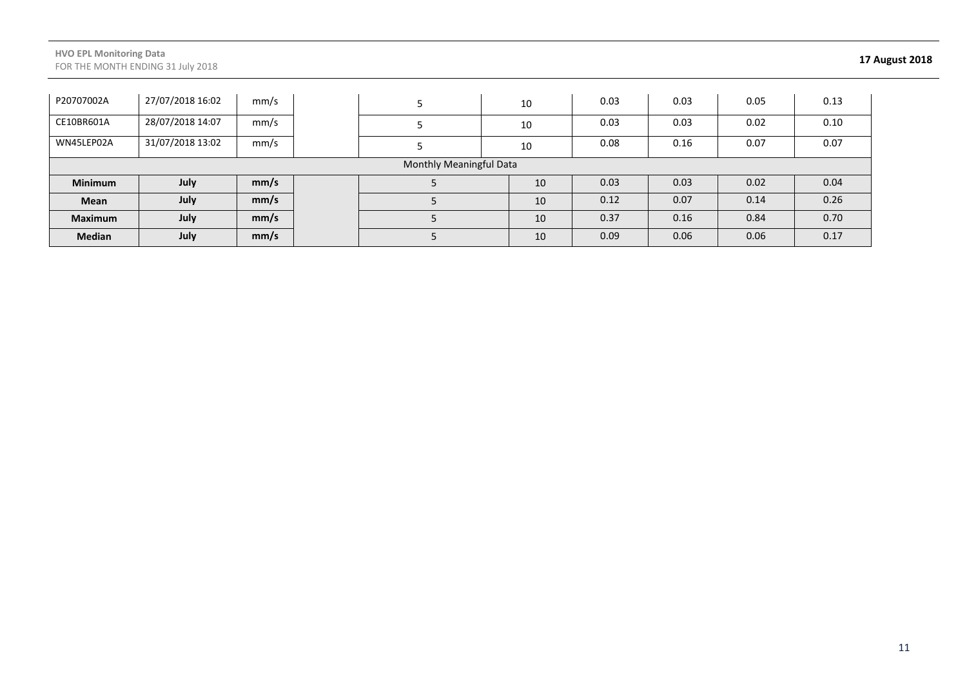#### **HVO EPL Monitoring Data** FOR THE MONTH ENDING 31 July 2018 **17 August 2018**

| P20707002A                     | 27/07/2018 16:02 | mm/s |  |  | 10 |    | 0.03 | 0.03 | 0.05 | 0.13 |
|--------------------------------|------------------|------|--|--|----|----|------|------|------|------|
| CE10BR601A                     | 28/07/2018 14:07 | mm/s |  |  | 10 |    | 0.03 | 0.03 | 0.02 | 0.10 |
| WN45LEP02A                     | 31/07/2018 13:02 | mm/s |  |  | 10 |    | 0.08 | 0.16 | 0.07 | 0.07 |
| <b>Monthly Meaningful Data</b> |                  |      |  |  |    |    |      |      |      |      |
| <b>Minimum</b>                 | July             | mm/s |  |  |    | 10 | 0.03 | 0.03 | 0.02 | 0.04 |
| Mean                           | July             | mm/s |  |  |    | 10 | 0.12 | 0.07 | 0.14 | 0.26 |
| <b>Maximum</b>                 | July             | mm/s |  |  |    | 10 | 0.37 | 0.16 | 0.84 | 0.70 |
| <b>Median</b>                  | July             | mm/s |  |  |    | 10 | 0.09 | 0.06 | 0.06 | 0.17 |